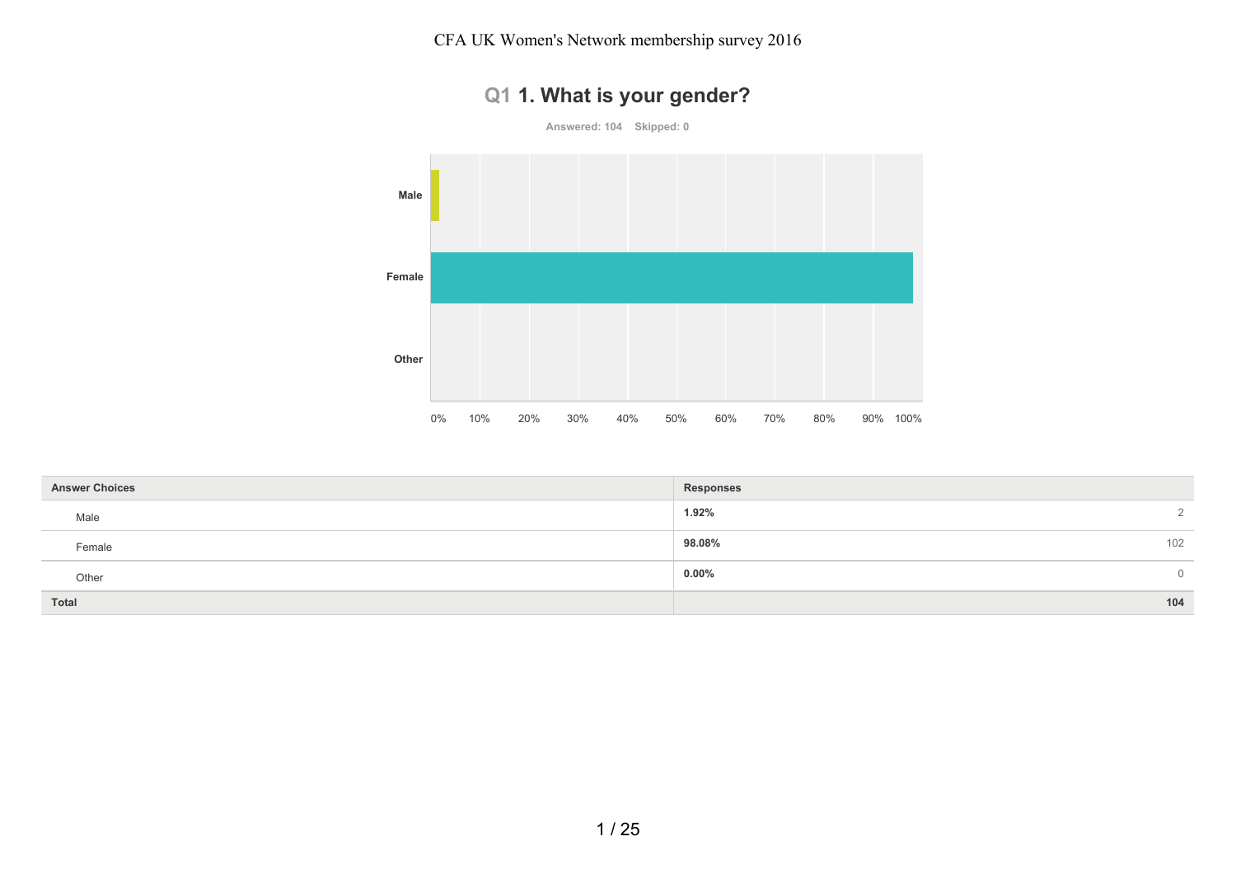CFA UK Women's Network membership survey 2016



|  |  |  |  |  |  | Q1 1. What is your gender? |
|--|--|--|--|--|--|----------------------------|
|--|--|--|--|--|--|----------------------------|

| <b>Answer Choices</b> | <b>Responses</b>       |
|-----------------------|------------------------|
| Male                  | 1.92%<br>$\mathcal{D}$ |
| Female                | 102<br>98.08%          |
| Other                 | $0.00\%$<br>$\Omega$   |
| Total                 | 104                    |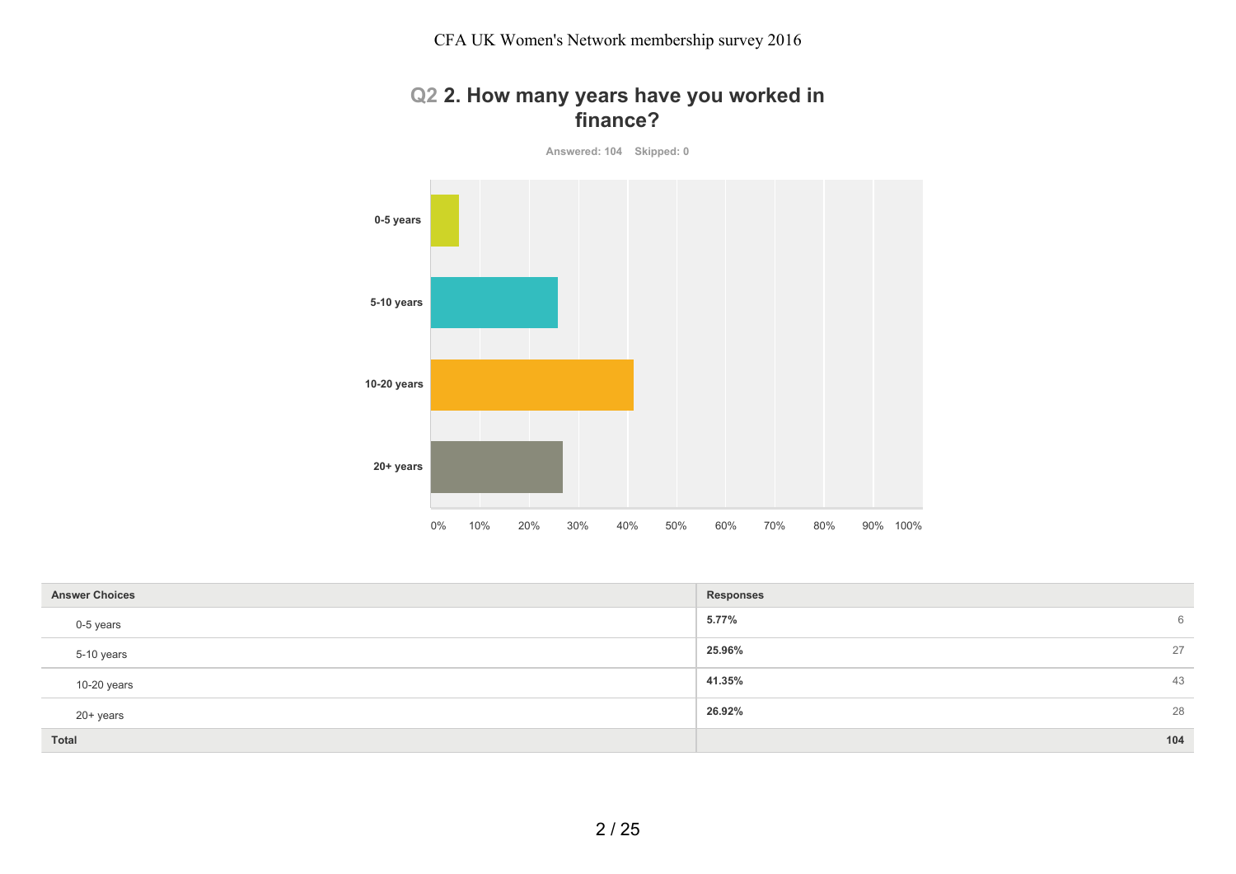### **Q2 2. How many years have you worked in finance?**

**Answered: 104 Skipped: 0**



| <b>Answer Choices</b> | Responses    |
|-----------------------|--------------|
| 0-5 years             | 5.77%<br>6   |
| 5-10 years            | 25.96%<br>27 |
| 10-20 years           | 41.35%<br>43 |
| 20+ years             | 26.92%<br>28 |
| Total                 | 104          |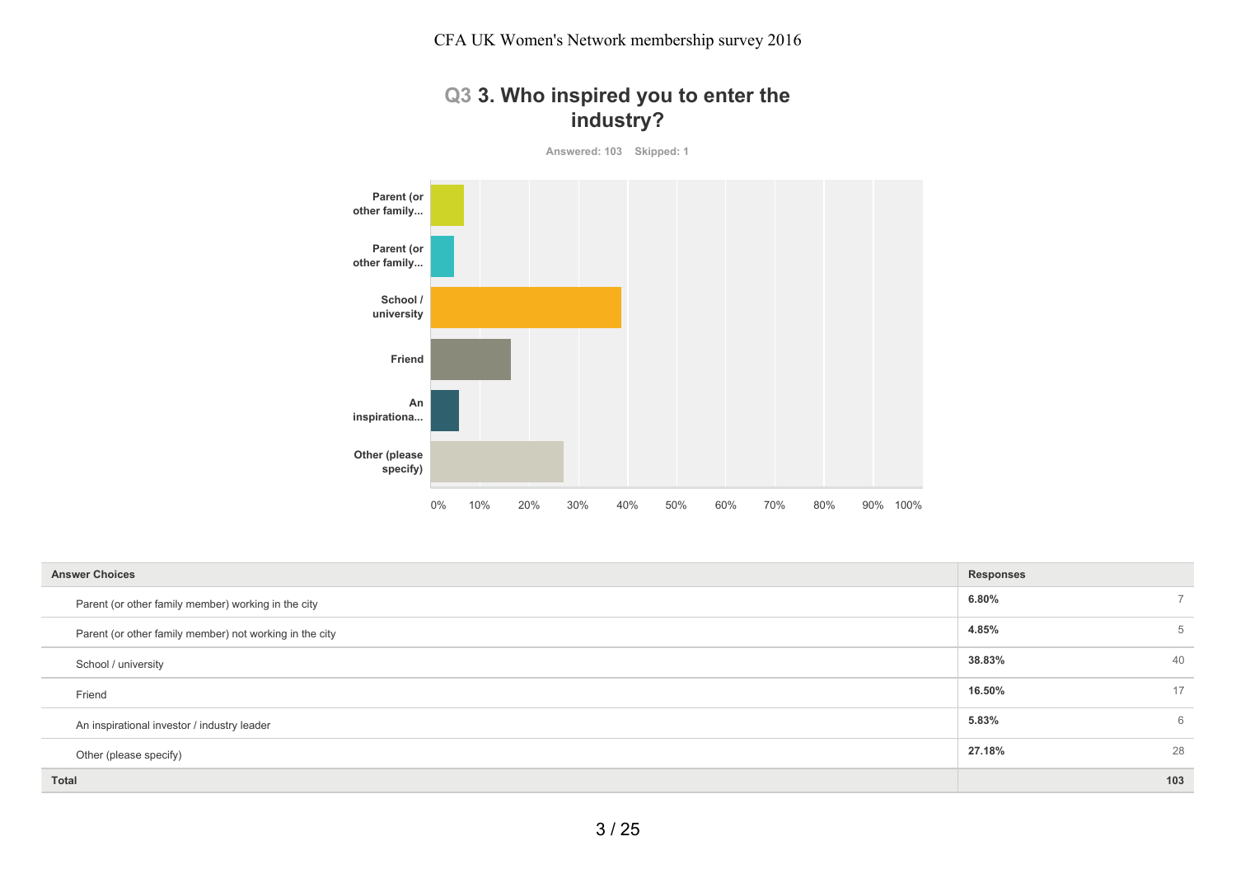# **Q3 3. Who inspired you to enter the industry?**

**Answered: 103 Skipped: 1**



| <b>Answer Choices</b>                                   | <b>Responses</b> |
|---------------------------------------------------------|------------------|
| Parent (or other family member) working in the city     | 6.80%            |
| Parent (or other family member) not working in the city | 4.85%<br>5       |
| School / university                                     | 38.83%<br>40     |
| Friend                                                  | 16.50%<br>17     |
| An inspirational investor / industry leader             | 5.83%<br>6       |
| Other (please specify)                                  | 28<br>27.18%     |
| Total                                                   | 103              |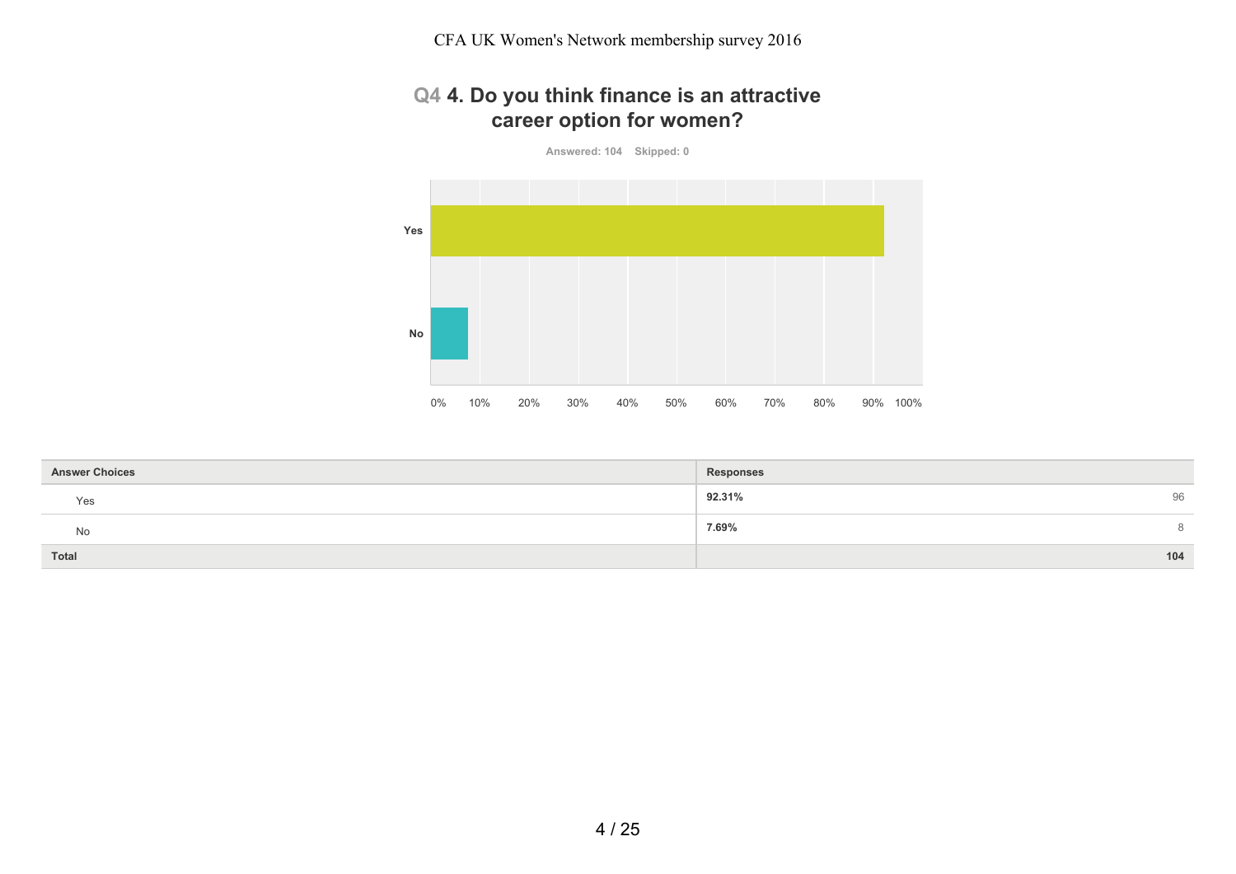CFA UK Women's Network membership survey 2016

# **Q4 4. Do you think finance is an attractive career option for women?**

**Answered: 104 Skipped: 0**



| <b>Answer Choices</b> | <b>Responses</b> |
|-----------------------|------------------|
| Yes                   | 92.31%<br>96     |
| No                    | 7.69%<br>8       |
| <b>Total</b>          | 104              |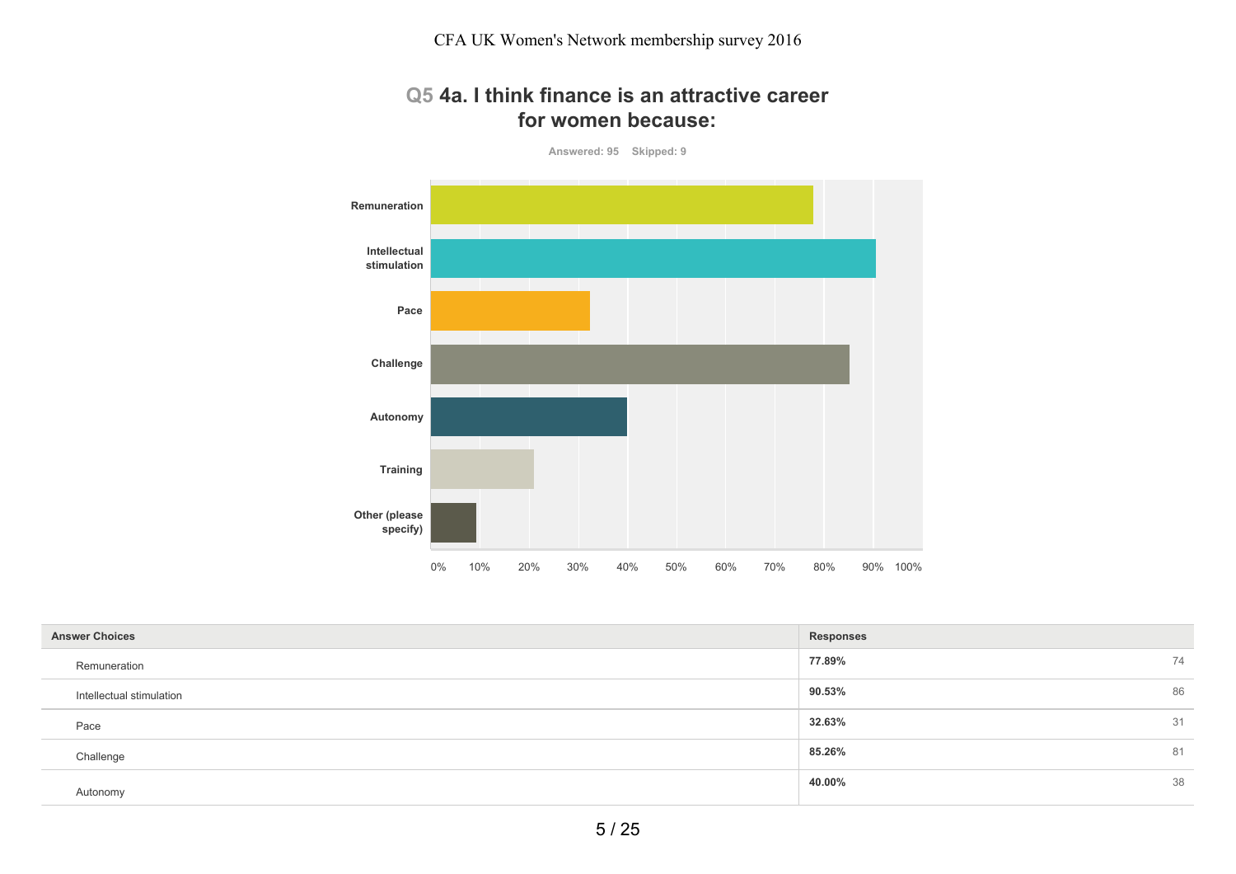#### **Q5 4a. I think finance is an attractive career for women because:**

**Answered: 95 Skipped: 9**



| <b>Responses</b> |    |
|------------------|----|
| 77.89%           | 74 |
| 90.53%           | 86 |
| 32.63%           | 31 |
| 85.26%           | 81 |
| 40.00%           | 38 |
|                  |    |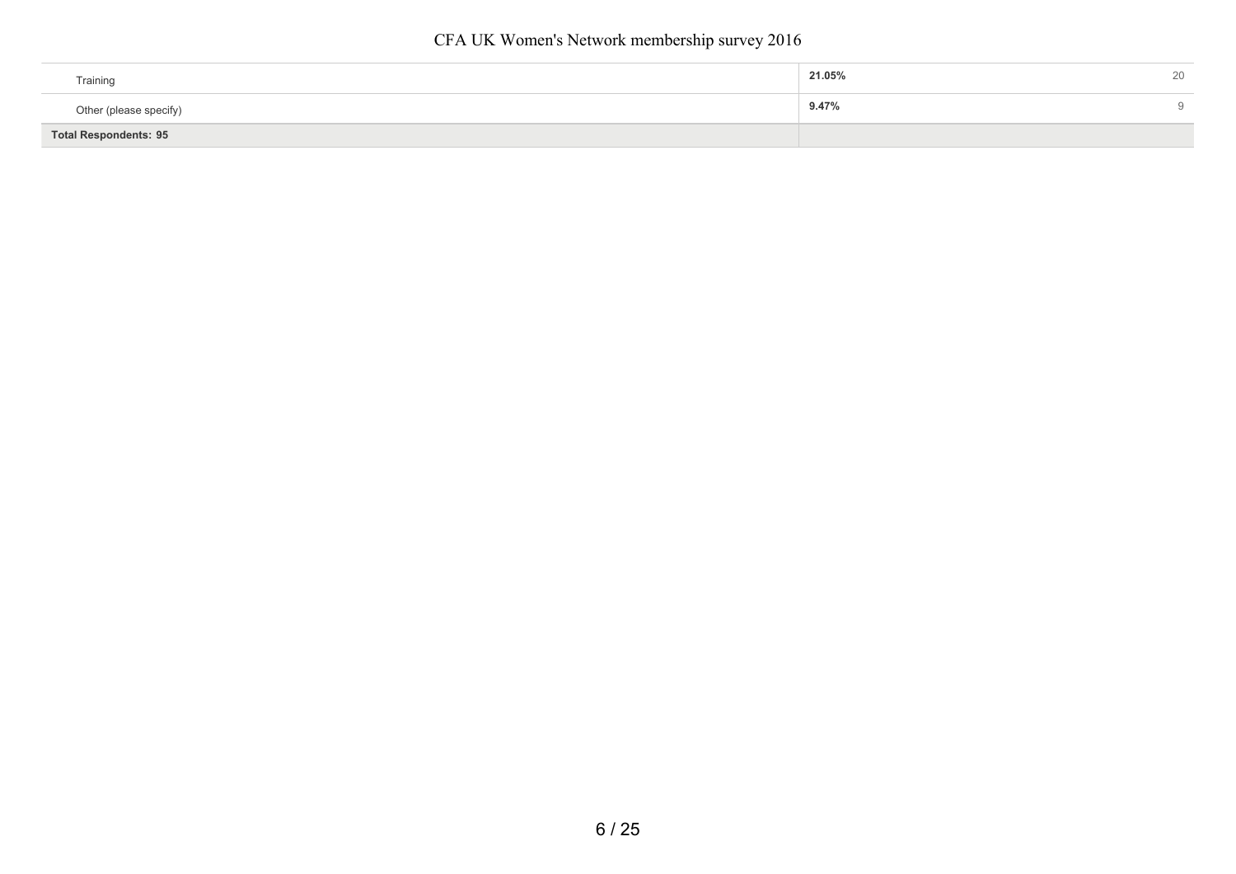| Training                     | 21.05%<br>∠∪ |
|------------------------------|--------------|
| Other (please specify)       | 9.47%        |
| <b>Total Respondents: 95</b> |              |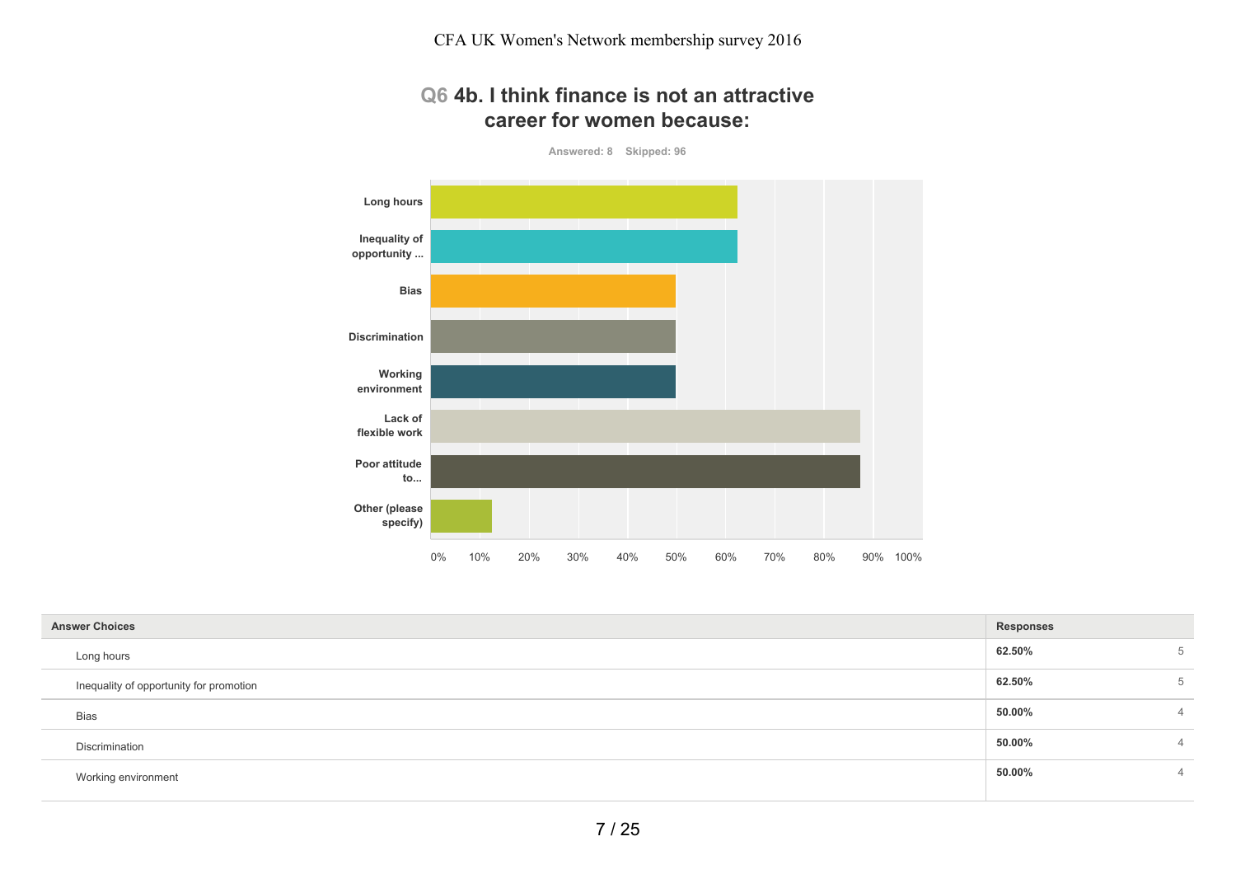#### **Q6 4b. I think finance is not an attractive career for women because:**

**Answered: 8 Skipped: 96**



| <b>Answer Choices</b> |                                         | <b>Responses</b> |   |
|-----------------------|-----------------------------------------|------------------|---|
|                       | Long hours                              | 62.50%           | 5 |
|                       | Inequality of opportunity for promotion | 62.50%           | 5 |
|                       | Bias                                    | 50.00%           | 4 |
|                       | Discrimination                          | 50.00%           | 4 |
|                       | Working environment                     | 50.00%           | 4 |
|                       |                                         |                  |   |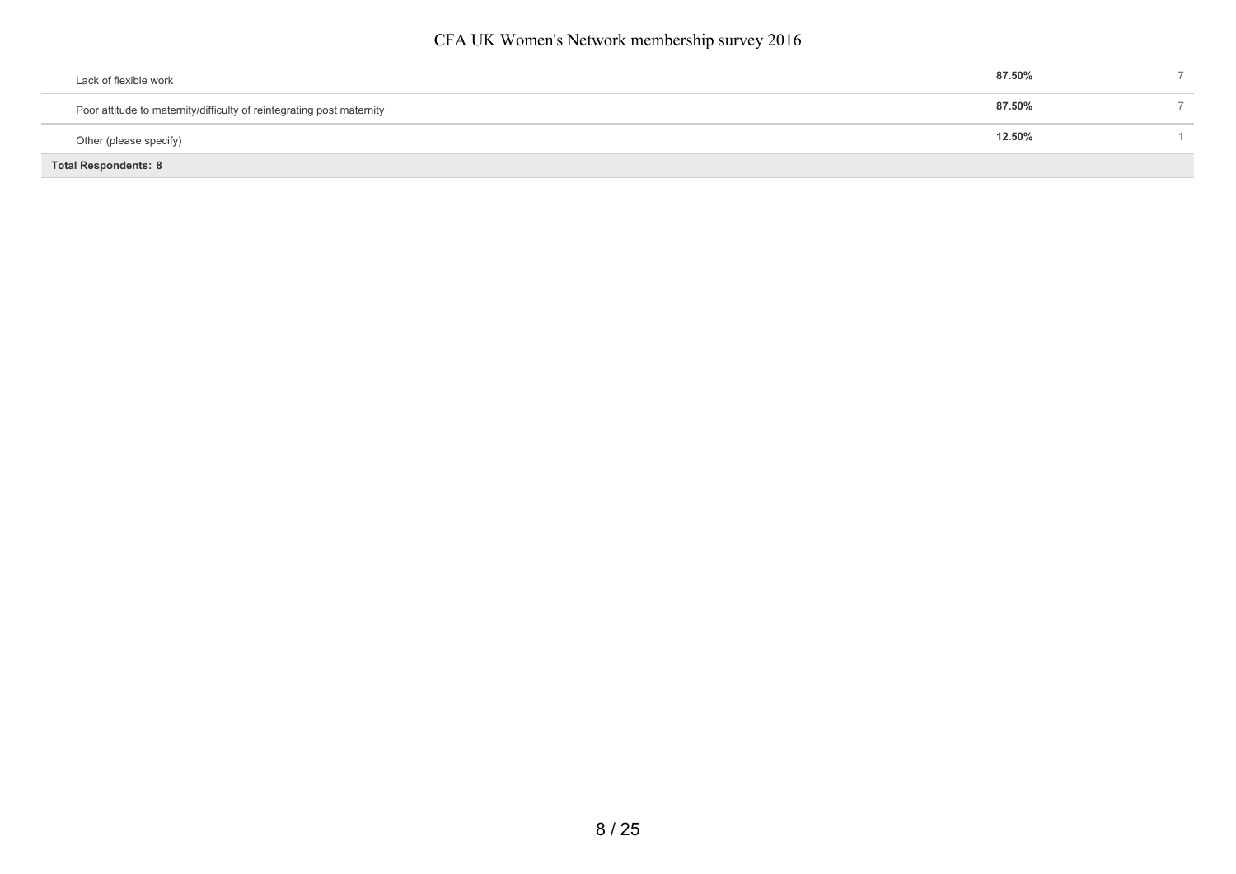| <b>Total Respondents: 8</b>                                           |  |        |  |
|-----------------------------------------------------------------------|--|--------|--|
| Other (please specify)                                                |  | 12.50% |  |
| Poor attitude to maternity/difficulty of reintegrating post maternity |  | 87.50% |  |
| Lack of flexible work                                                 |  | 87.50% |  |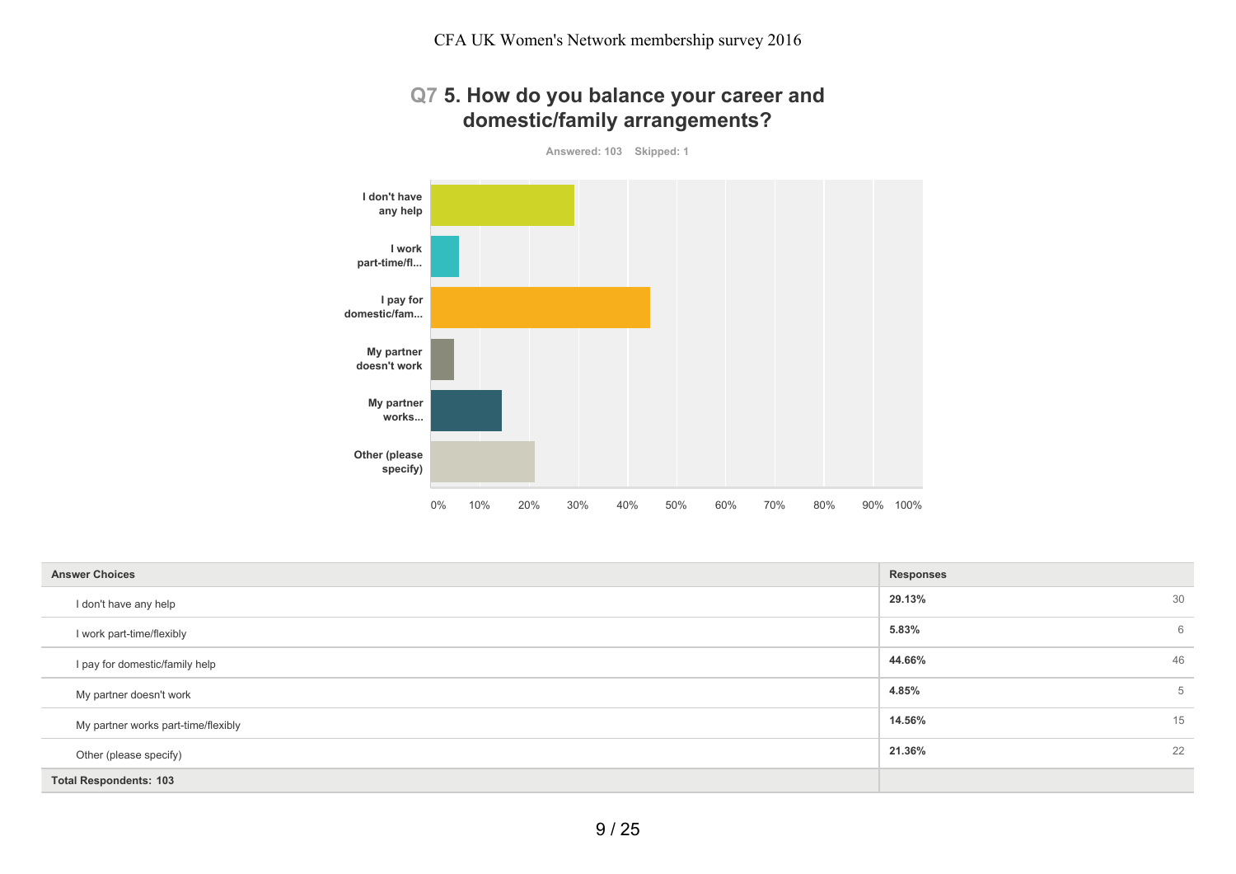# **Q7 5. How do you balance your career and domestic/family arrangements?**

**Answered: 103 Skipped: 1**



| <b>Answer Choices</b>               | <b>Responses</b> |    |
|-------------------------------------|------------------|----|
| I don't have any help               | 29.13%           | 30 |
| I work part-time/flexibly           | 5.83%            | 6  |
| I pay for domestic/family help      | 44.66%           | 46 |
| My partner doesn't work             | 4.85%            | 5  |
| My partner works part-time/flexibly | 14.56%           | 15 |
| Other (please specify)              | 21.36%           | 22 |
| <b>Total Respondents: 103</b>       |                  |    |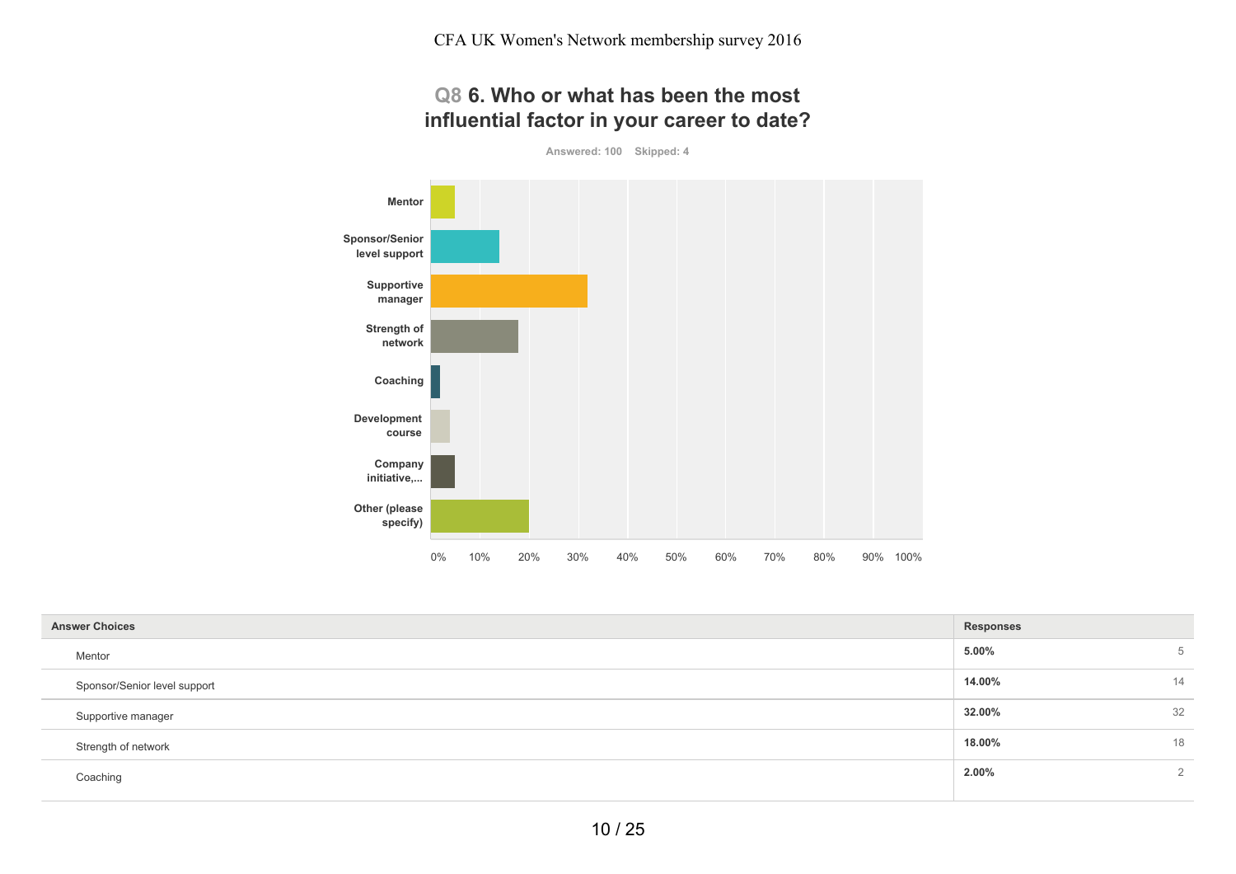# **Q8 6. Who or what has been the most influential factor in your career to date?**

**Answered: 100 Skipped: 4**



| <b>Answer Choices</b><br><b>Responses</b> |        |    |
|-------------------------------------------|--------|----|
| Mentor                                    | 5.00%  | 5  |
| Sponsor/Senior level support              | 14.00% | 14 |
| Supportive manager                        | 32.00% | 32 |
| Strength of network                       | 18.00% | 18 |
| Coaching                                  | 2.00%  | 2  |
|                                           |        |    |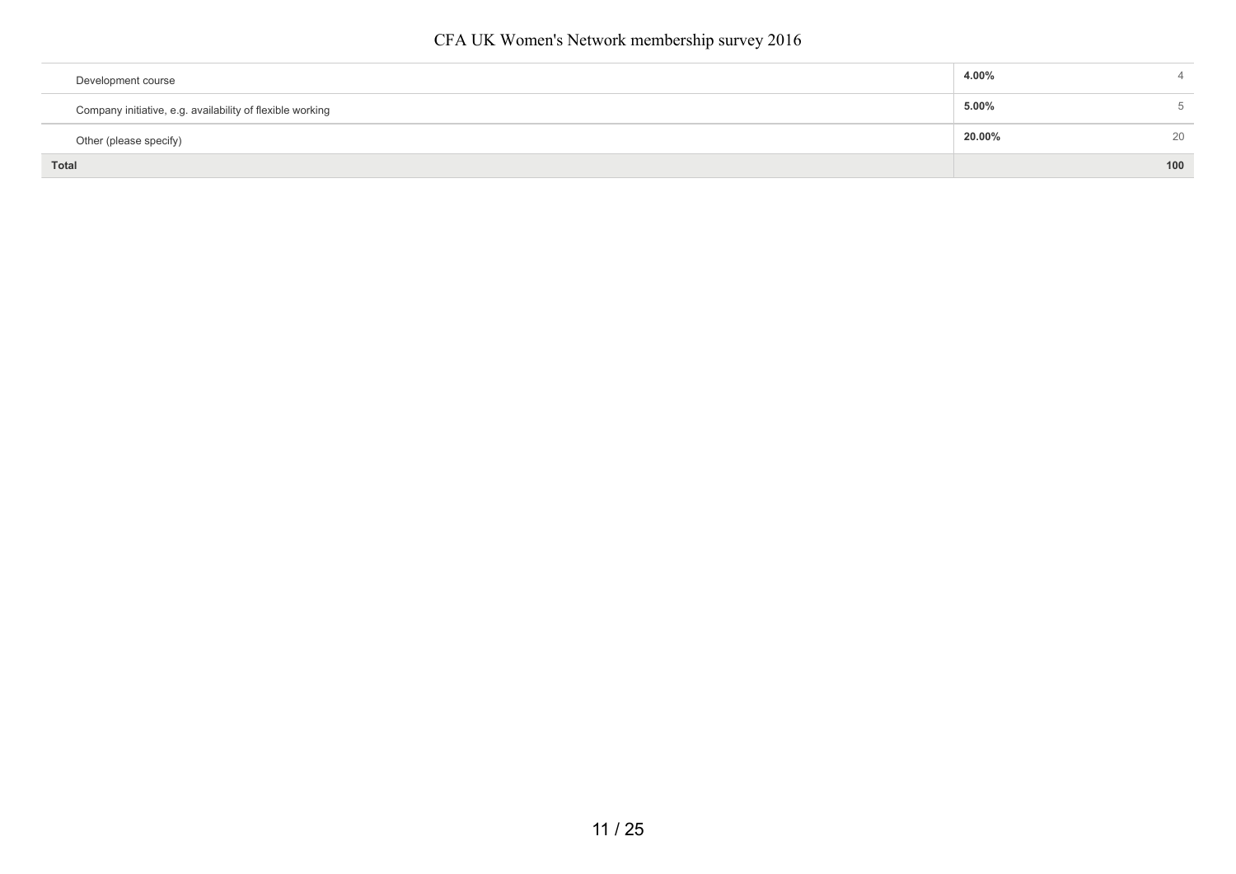| Development course                                        | 4.00%  |        |
|-----------------------------------------------------------|--------|--------|
| Company initiative, e.g. availability of flexible working | 5.00%  | $\sim$ |
| Other (please specify)                                    | 20.00% | 20     |
| <b>Total</b>                                              |        | 100    |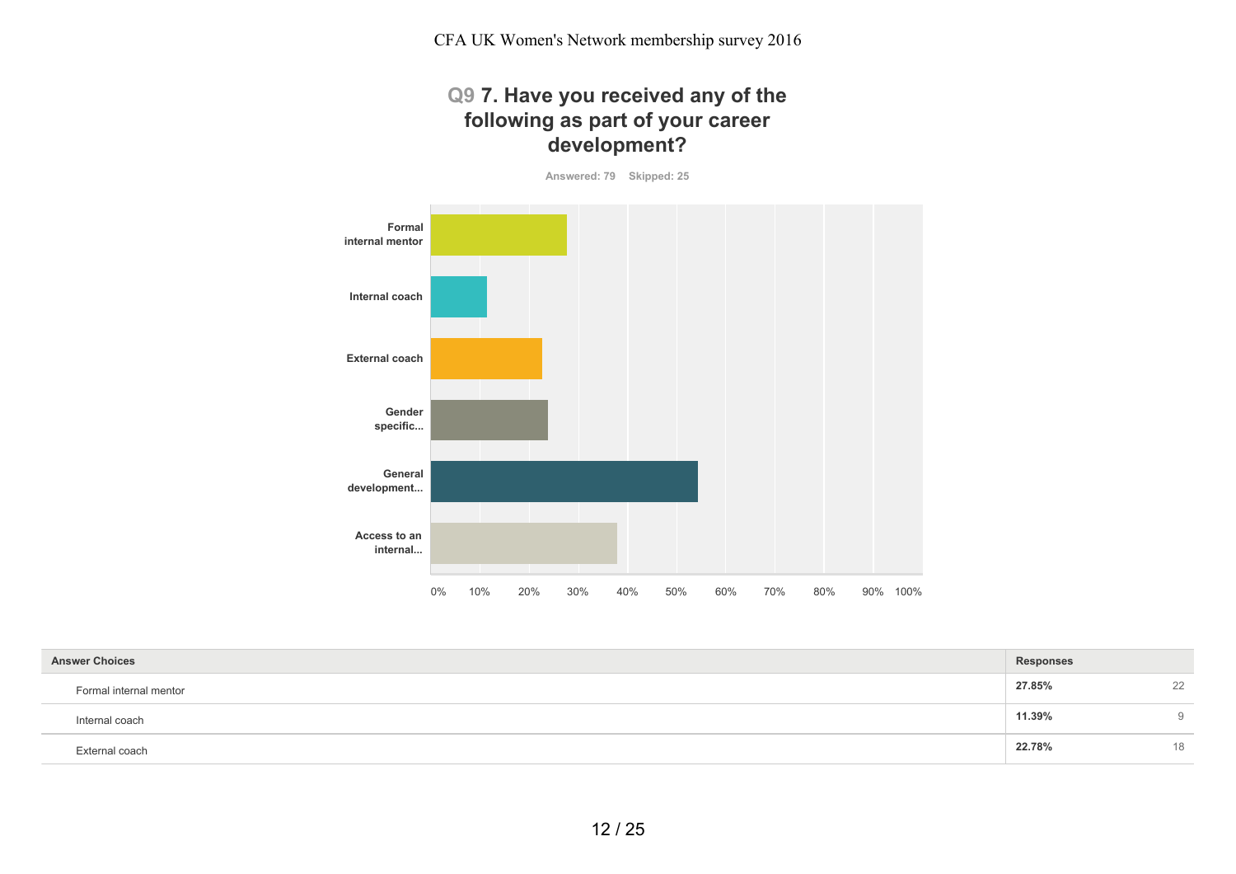# **Q9 7. Have you received any of the following as part of your career development?**

**Answered: 79 Skipped: 25**



| <b>Answer Choices</b>  | Responses |    |
|------------------------|-----------|----|
| Formal internal mentor | 27.85%    | 22 |
| Internal coach         | 11.39%    | 9  |
| External coach         | 22.78%    | 18 |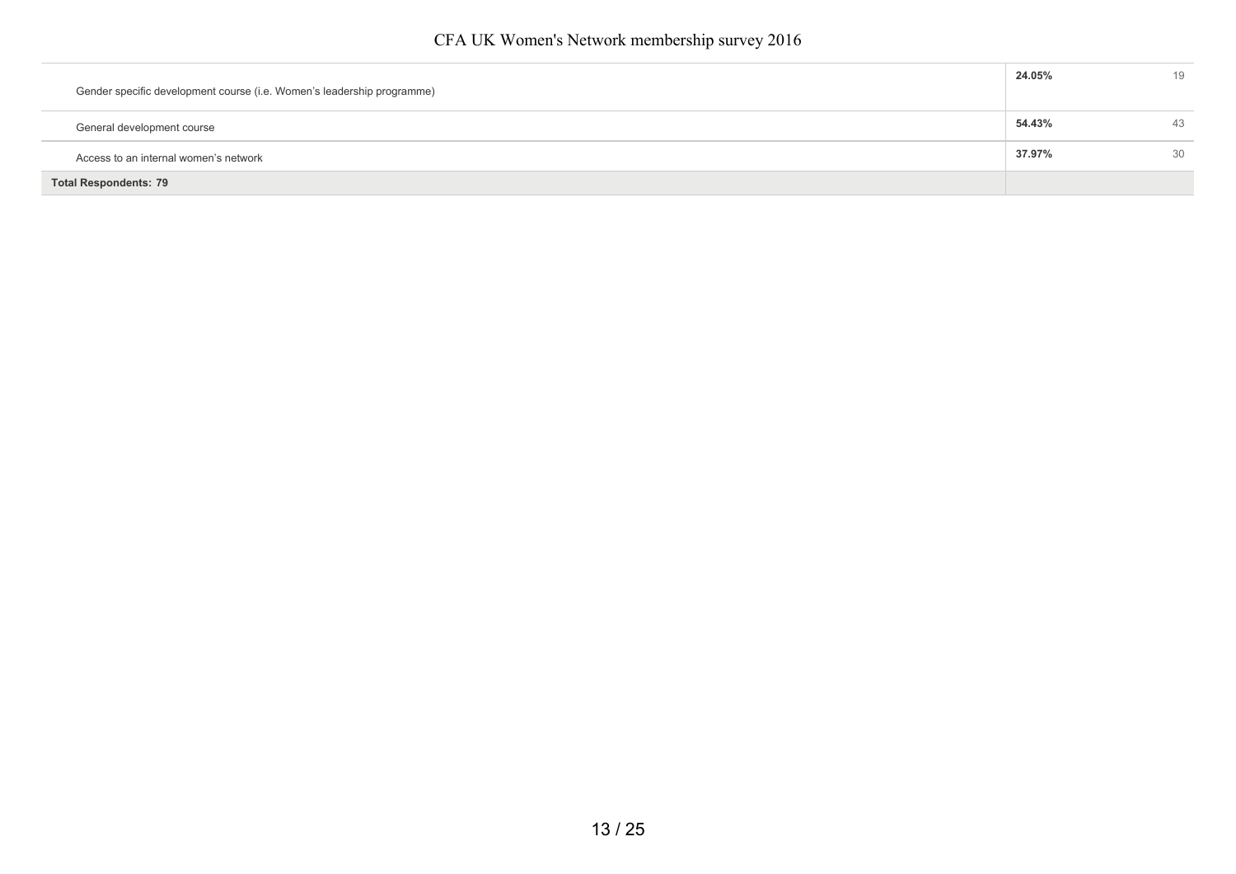| Gender specific development course (i.e. Women's leadership programme) | 24.05% | 19 |
|------------------------------------------------------------------------|--------|----|
| General development course                                             | 54.43% | 43 |
| Access to an internal women's network                                  | 37.97% | 30 |
| <b>Total Respondents: 79</b>                                           |        |    |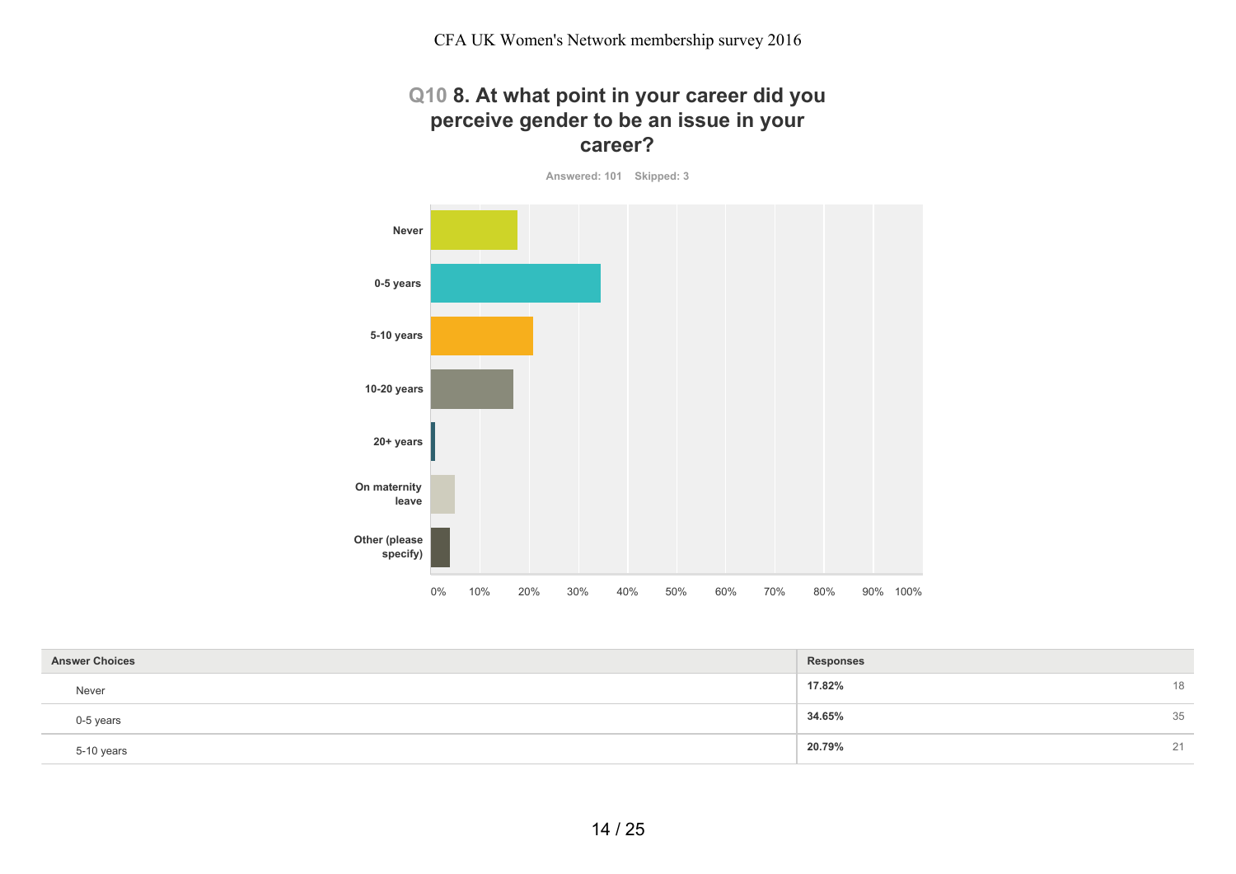#### **Q10 8. At what point in your career did you perceive gender to be an issue in your career?**

**Answered: 101 Skipped: 3**



| <b>Answer Choices</b> | <b>Responses</b> |
|-----------------------|------------------|
| Never                 | 17.82%<br>18     |
| 0-5 years             | 34.65%<br>35     |
| 5-10 years            | 20.79%<br>21     |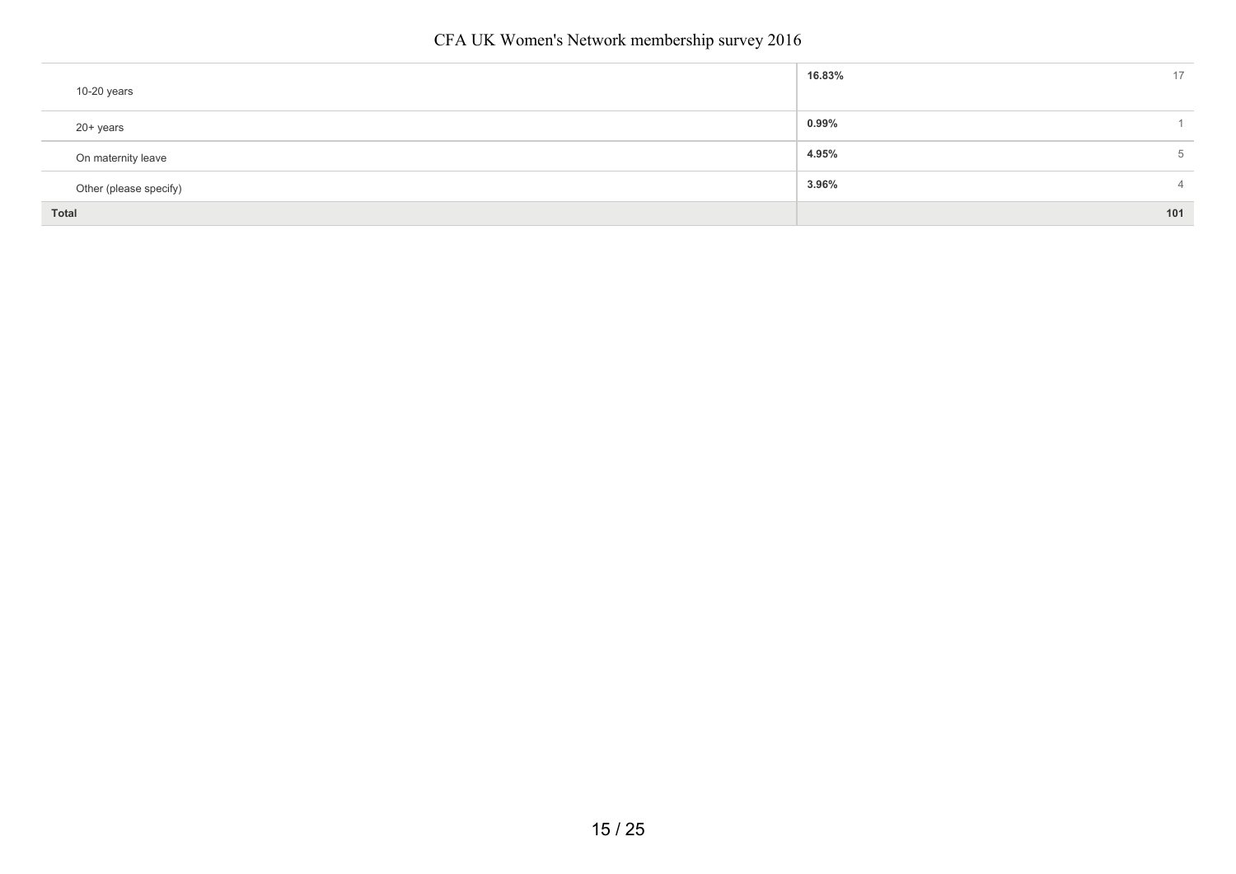|                        | 16.83%<br>17            |
|------------------------|-------------------------|
| 10-20 years            |                         |
| 20+ years              | $0.99\%$                |
| On maternity leave     | 4.95%<br>5              |
| Other (please specify) | 3.96%<br>$\overline{4}$ |
| Total                  | 101                     |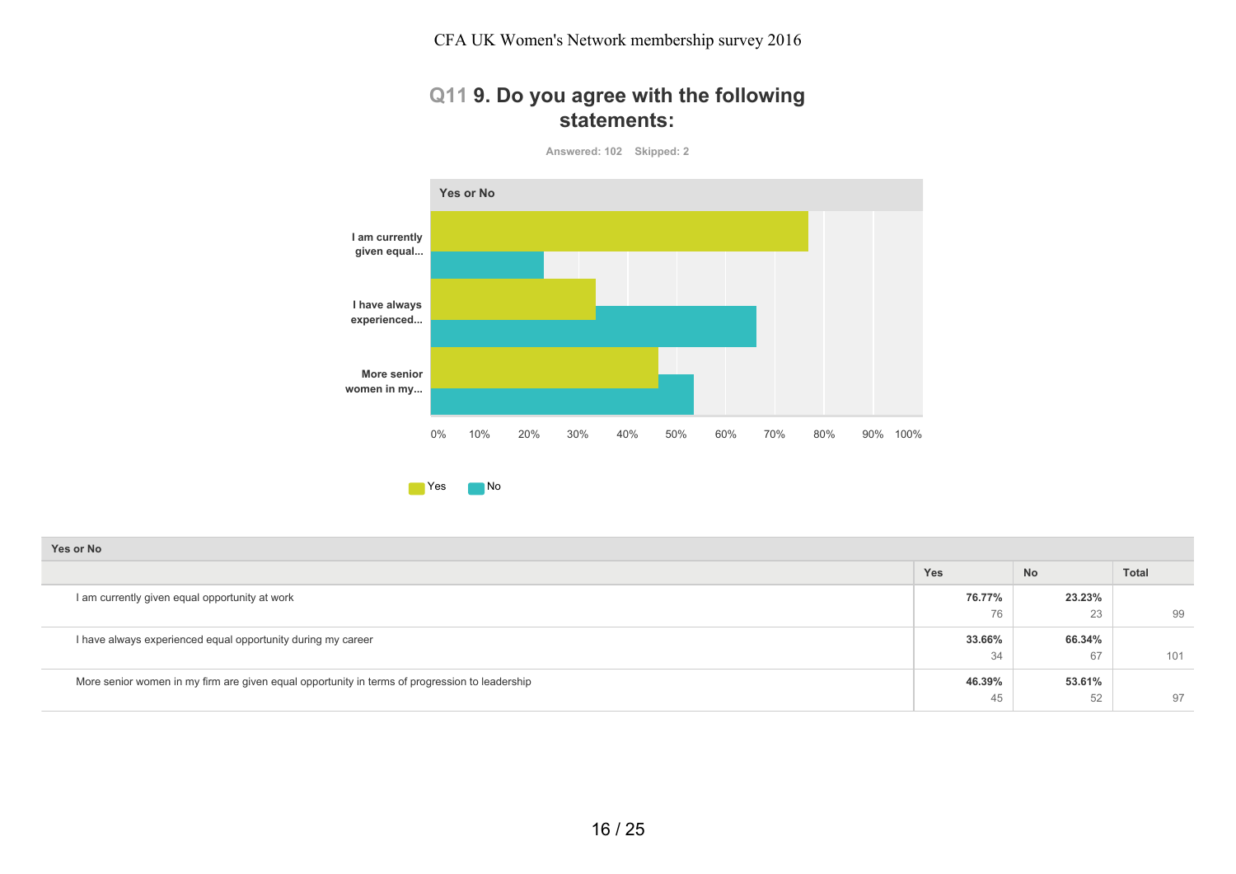#### **Q11 9. Do you agree with the following statements:**

**Answered: 102 Skipped: 2**



| Yes or No                                                                                      |        |           |              |
|------------------------------------------------------------------------------------------------|--------|-----------|--------------|
|                                                                                                | Yes    | <b>No</b> | <b>Total</b> |
| I am currently given equal opportunity at work                                                 | 76.77% | 23.23%    |              |
|                                                                                                | 76     | 23        | 99           |
| I have always experienced equal opportunity during my career                                   | 33.66% | 66.34%    |              |
|                                                                                                | -34    | 67        | 101          |
| More senior women in my firm are given equal opportunity in terms of progression to leadership | 46.39% | 53.61%    |              |
|                                                                                                | 45     | 52        | 97           |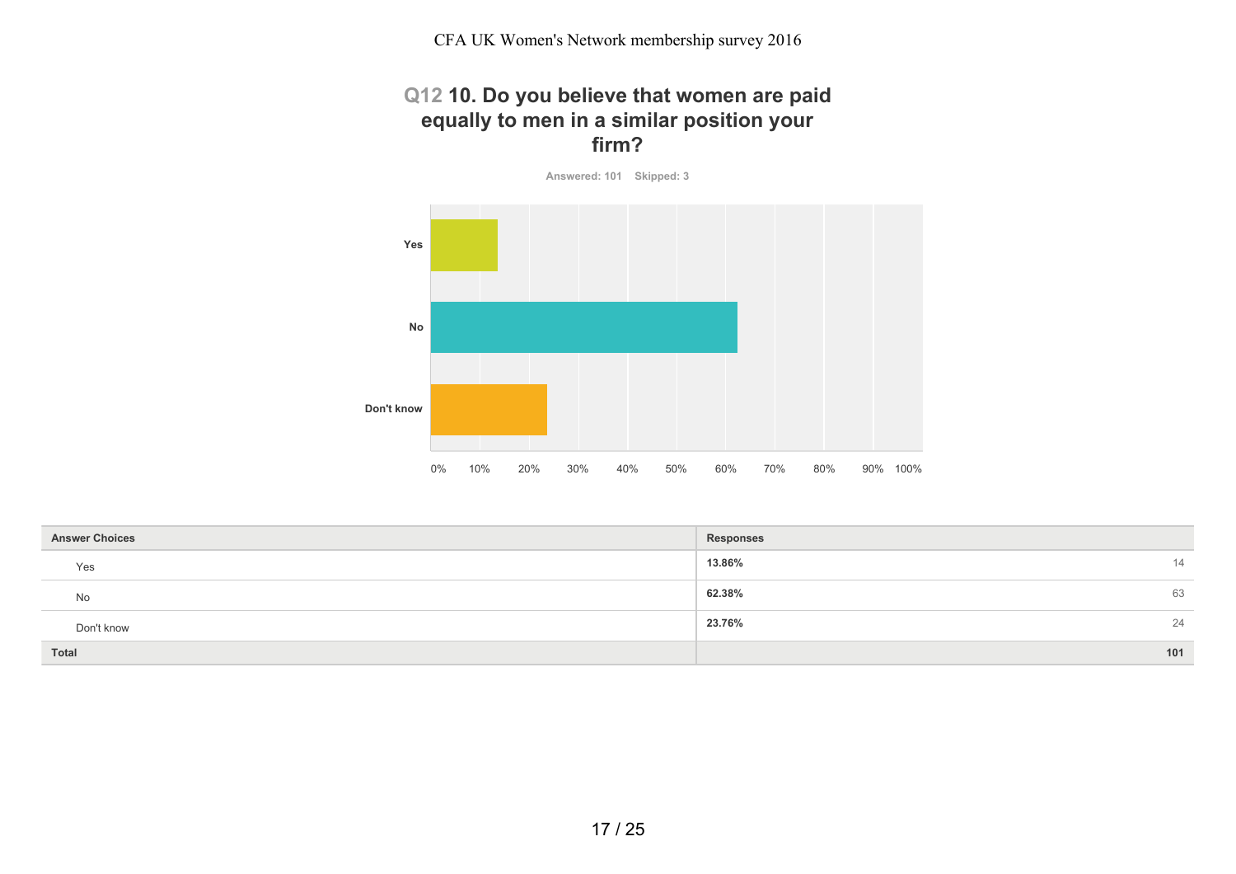## **Q12 10. Do you believe that women are paid equally to men in a similar position your firm?**

**Answered: 101 Skipped: 3**



| <b>Answer Choices</b> | <b>Responses</b> |
|-----------------------|------------------|
| Yes                   | 13.86%<br>14     |
| No                    | 62.38%<br>63     |
| Don't know            | 23.76%<br>24     |
| Total                 | 101              |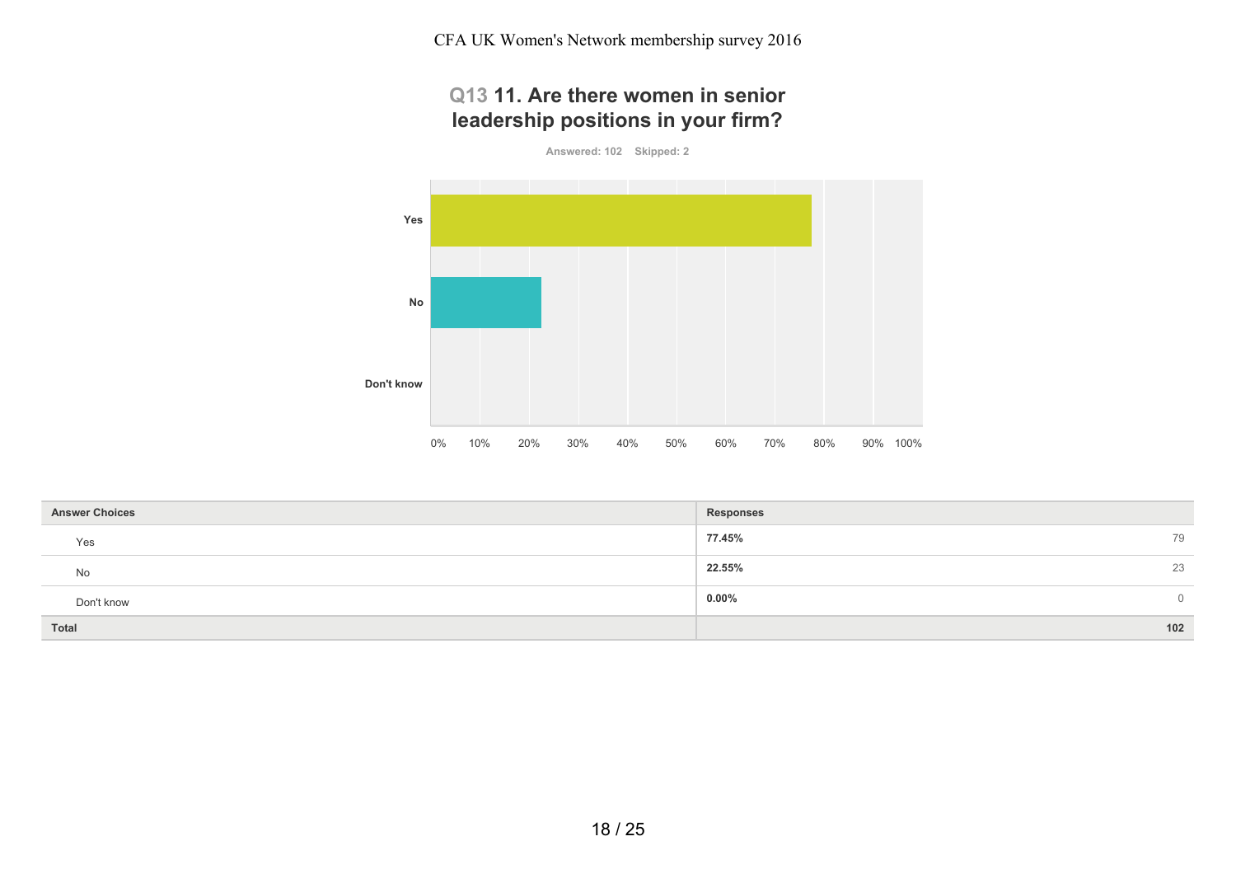CFA UK Women's Network membership survey 2016

# **Q13 11. Are there women in senior leadership positions in your firm?**

**Answered: 102 Skipped: 2**



| <b>Answer Choices</b> | Responses            |
|-----------------------|----------------------|
| Yes                   | 77.45%<br>79         |
| No                    | 22.55%<br>23         |
| Don't know            | $0.00\%$<br>$\Omega$ |
| <b>Total</b>          | 102                  |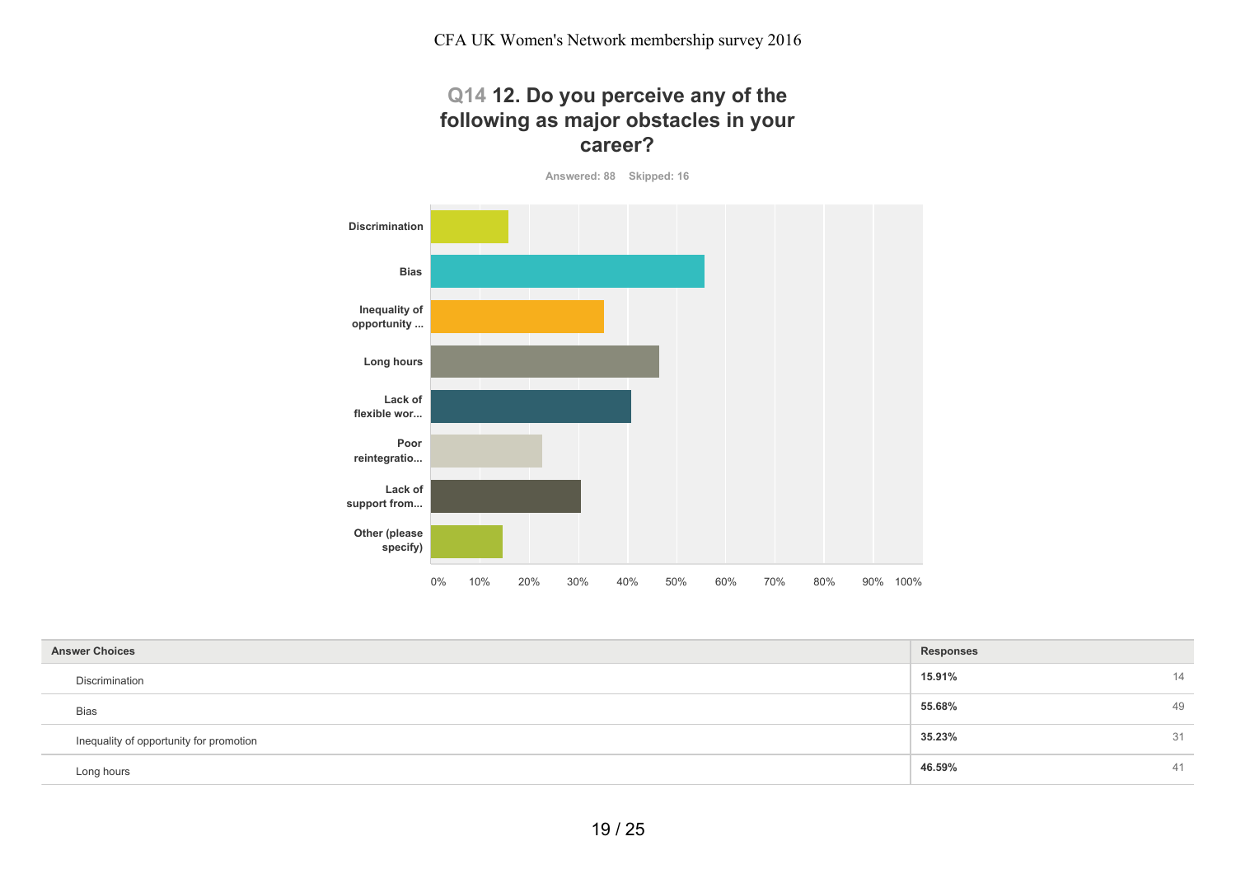## **Q14 12. Do you perceive any of the following as major obstacles in your career?**

**Answered: 88 Skipped: 16**



| <b>Answer Choices</b>                   | <b>Responses</b> |    |
|-----------------------------------------|------------------|----|
| Discrimination                          | 15.91%           | 14 |
| <b>Bias</b>                             | 55.68%           | 49 |
| Inequality of opportunity for promotion | 35.23%           | 31 |
| Long hours                              | 46.59%           | 41 |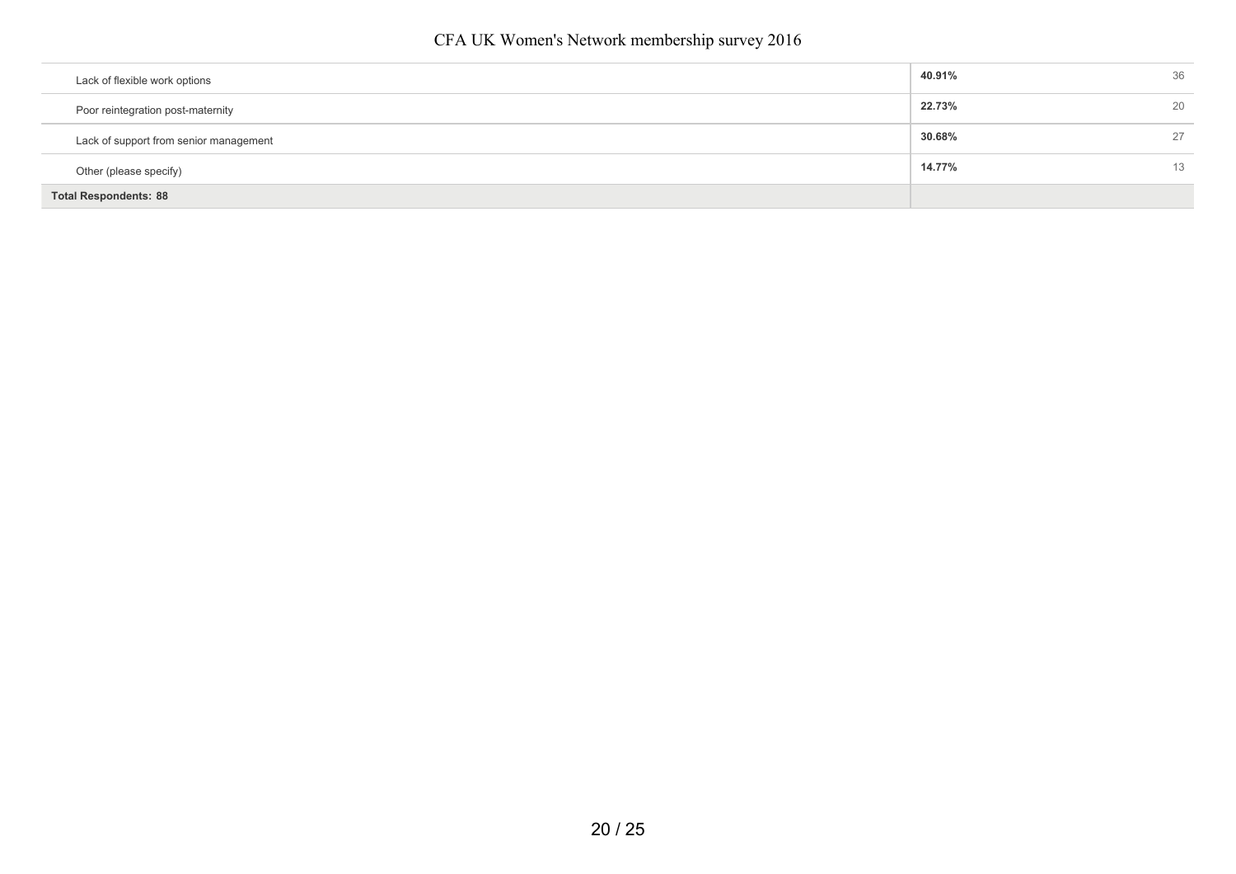| Lack of flexible work options          | 40.91% | 36 |
|----------------------------------------|--------|----|
|                                        |        |    |
| Poor reintegration post-maternity      | 22.73% | 20 |
| Lack of support from senior management | 30.68% | 27 |
| Other (please specify)                 | 14.77% | 13 |
| <b>Total Respondents: 88</b>           |        |    |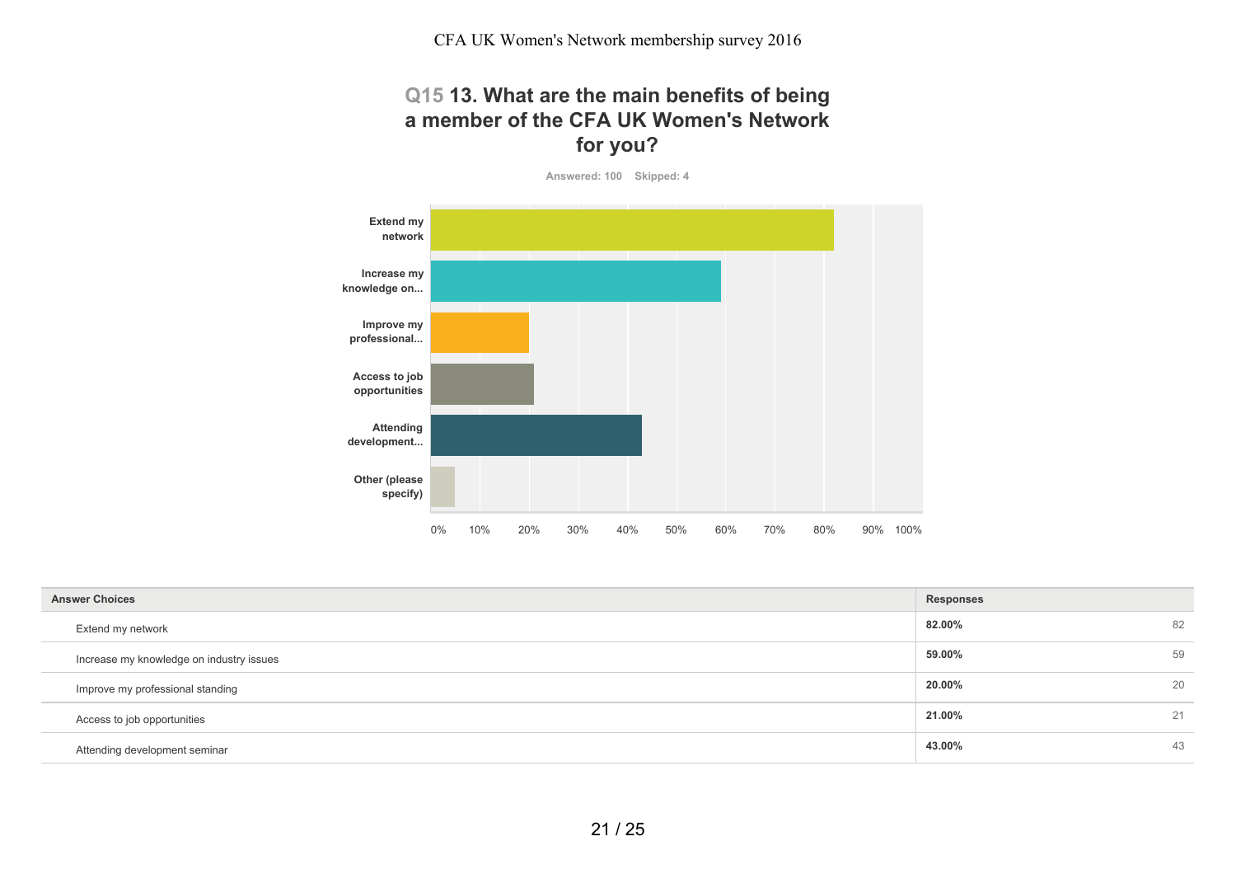## **Q15 13. What are the main benefits of being a member of the CFA UK Women's Network for you?**

**Answered: 100 Skipped: 4**



| <b>Answer Choices</b>                    | <b>Responses</b> |    |
|------------------------------------------|------------------|----|
| Extend my network                        | 82.00%           | 82 |
| Increase my knowledge on industry issues | 59.00%           | 59 |
| Improve my professional standing         | 20.00%           | 20 |
| Access to job opportunities              | 21.00%           | 21 |
| Attending development seminar            | 43.00%           | 43 |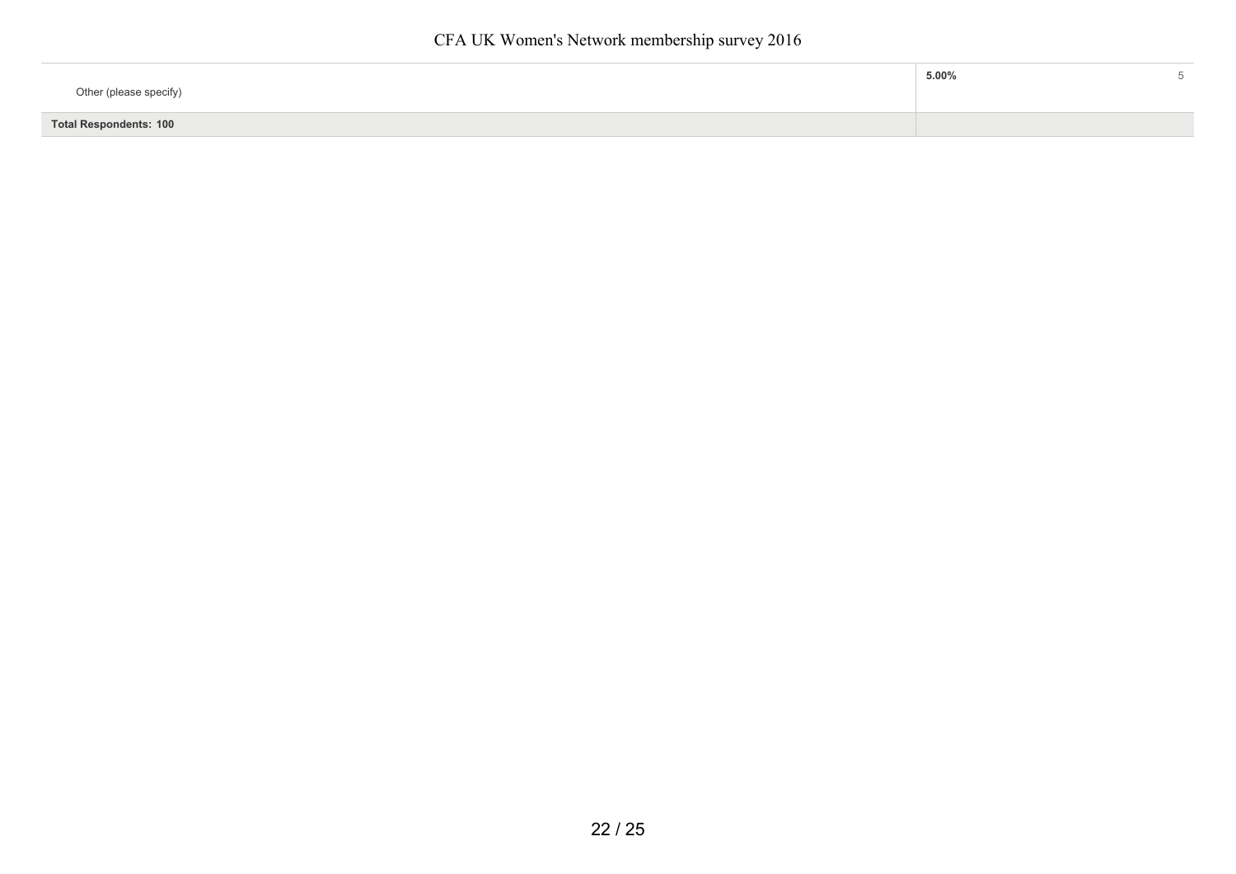| Other (please specify)        | $5.00\%$ |  |
|-------------------------------|----------|--|
| <b>Total Respondents: 100</b> |          |  |
|                               |          |  |

ī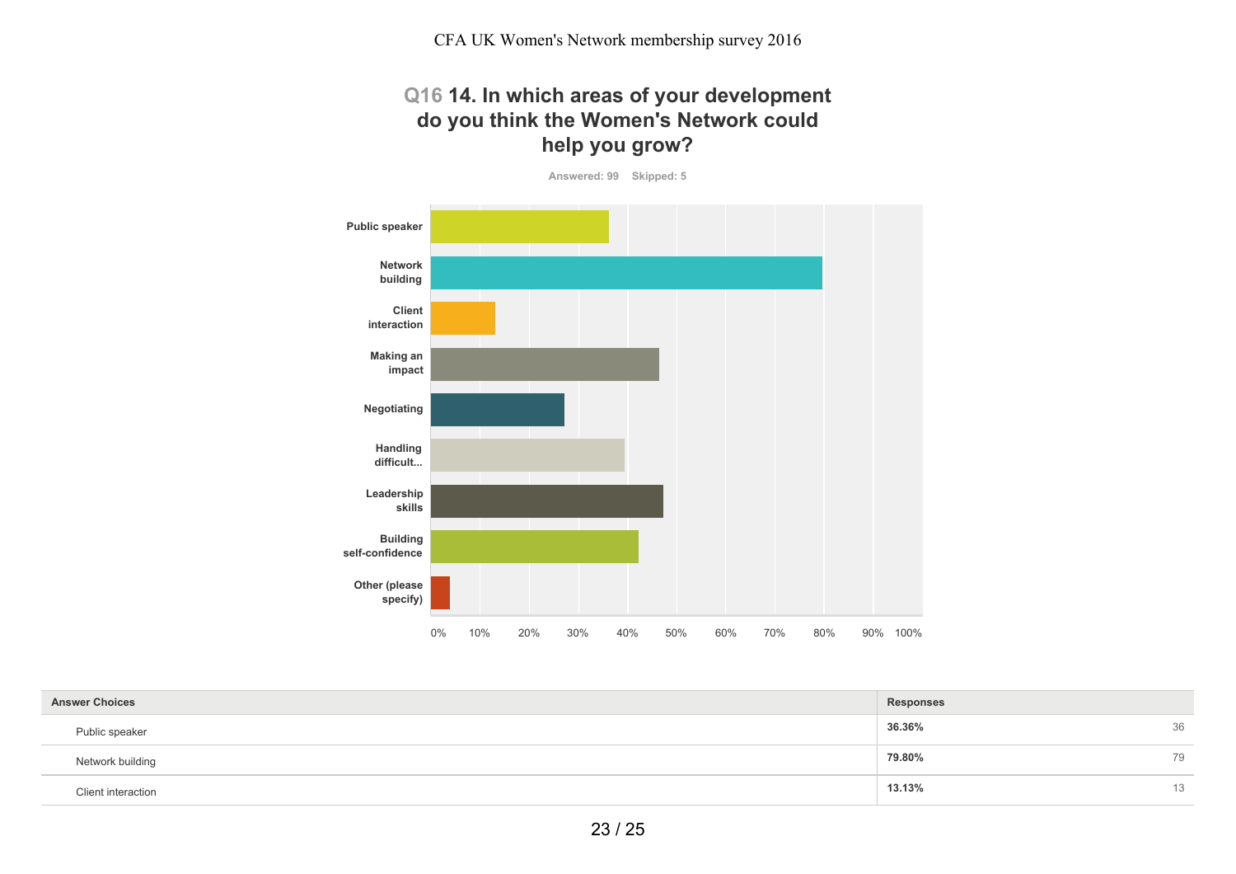# **Q16 14. In which areas of your development do you think the Women's Network could help you grow?**

**Answered: 99 Skipped: 5**

![](_page_22_Figure_3.jpeg)

| <b>Answer Choices</b>     | Responses |    |
|---------------------------|-----------|----|
| Public speaker            | 36.36%    | 36 |
| Network building          | 79.80%    | 79 |
| <b>Client interaction</b> | 13.13%    | 13 |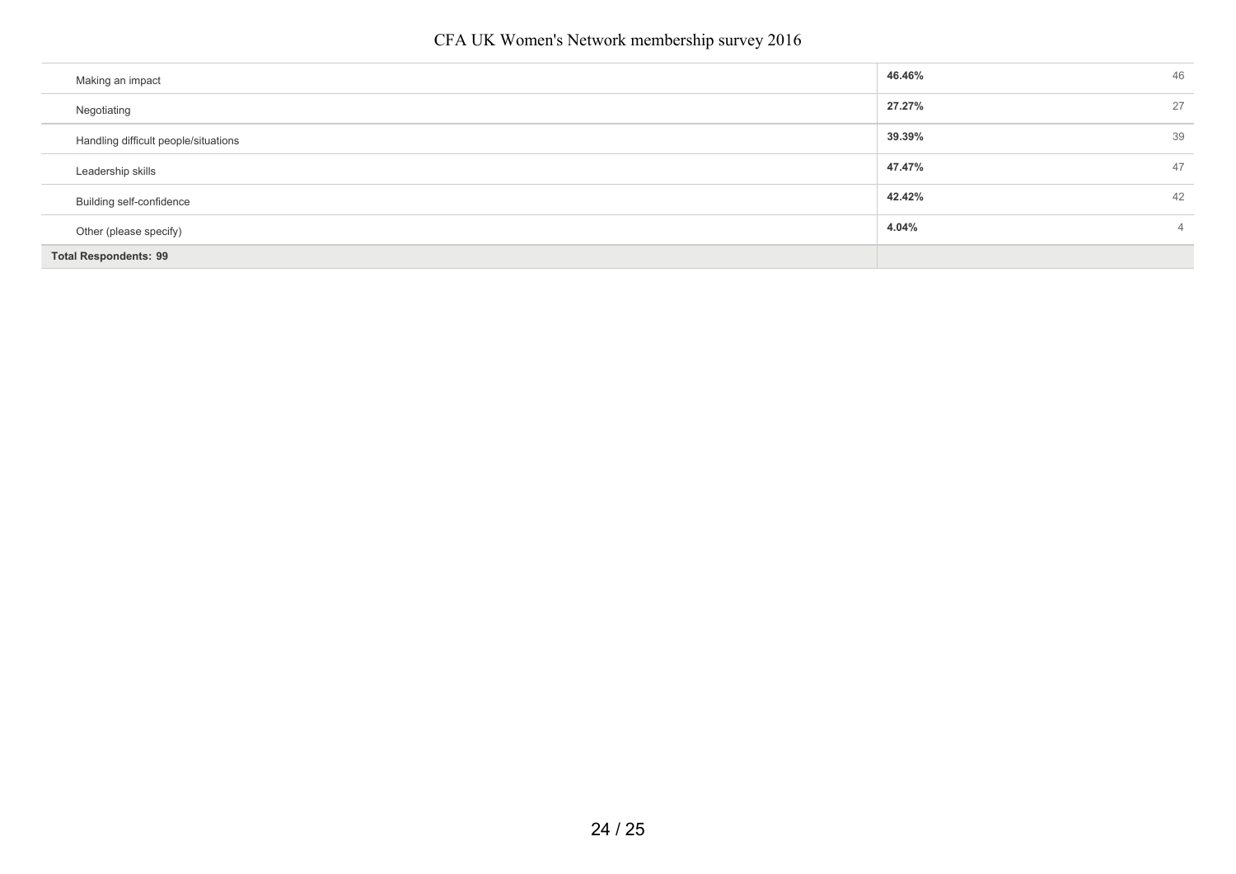| Making an impact                     | 46.46% | 46 |
|--------------------------------------|--------|----|
| Negotiating                          | 27.27% | 27 |
| Handling difficult people/situations | 39.39% | 39 |
| Leadership skills                    | 47.47% | 47 |
| Building self-confidence             | 42.42% | 42 |
| Other (please specify)               | 4.04%  | 4  |
| <b>Total Respondents: 99</b>         |        |    |